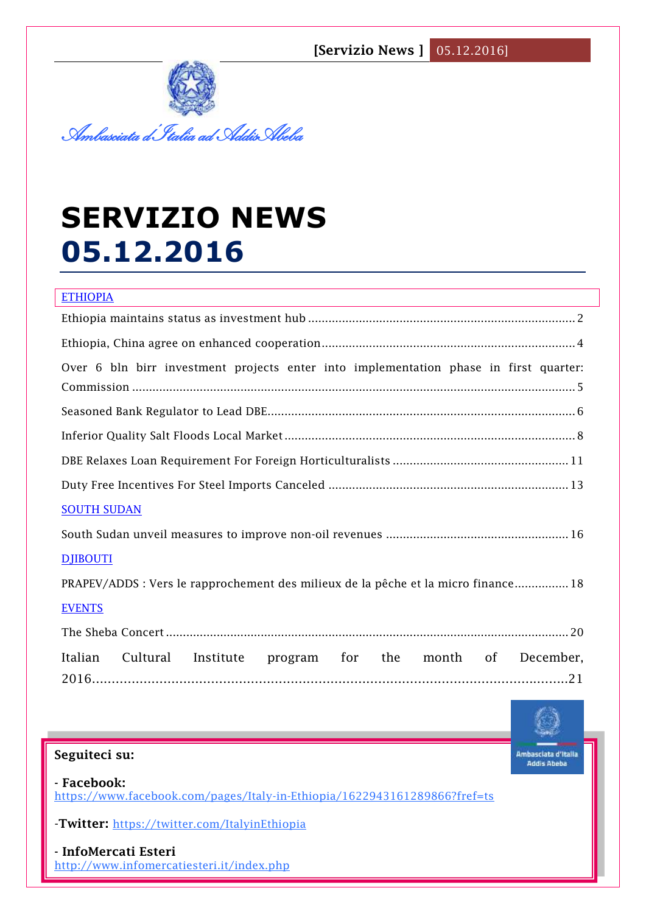

# **SERVIZIO NEWS 05.12.2016**

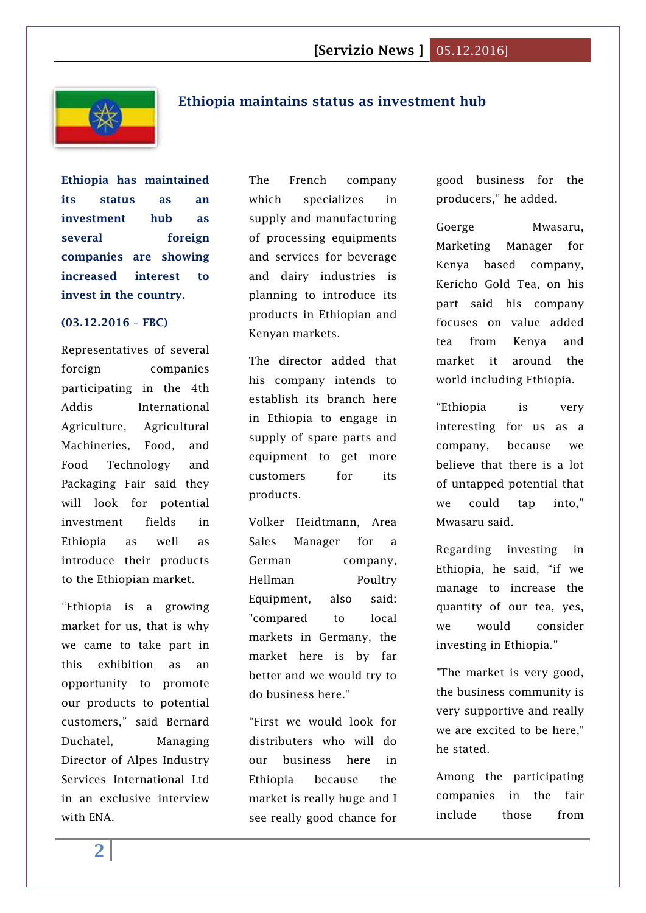

## <span id="page-1-0"></span>**Ethiopia maintains status as investment hub**

**Ethiopia has maintained its status as an investment hub as several foreign companies are showing increased interest to invest in the country.**

#### **(03.12.2016 – FBC)**

Representatives of several foreign companies participating in the 4th Addis International Agriculture, Agricultural Machineries, Food, and Food Technology and Packaging Fair said they will look for potential investment fields in Ethiopia as well as introduce their products to the Ethiopian market.

"Ethiopia is a growing market for us, that is why we came to take part in this exhibition as an opportunity to promote our products to potential customers," said Bernard Duchatel, Managing Director of Alpes Industry Services International Ltd in an exclusive interview with ENA.

The French company which specializes in supply and manufacturing of processing equipments and services for beverage and dairy industries is planning to introduce its products in Ethiopian and Kenyan markets.

The director added that his company intends to establish its branch here in Ethiopia to engage in supply of spare parts and equipment to get more customers for its products.

Volker Heidtmann, Area Sales Manager for a German company, Hellman Poultry Equipment, also said: "compared to local markets in Germany, the market here is by far better and we would try to do business here."

"First we would look for distributers who will do our business here in Ethiopia because the market is really huge and I see really good chance for

good business for the producers," he added.

Goerge Mwasaru, Marketing Manager for Kenya based company, Kericho Gold Tea, on his part said his company focuses on value added tea from Kenya and market it around the world including Ethiopia.

"Ethiopia is very interesting for us as a company, because we believe that there is a lot of untapped potential that we could tap into," Mwasaru said.

Regarding investing in Ethiopia, he said, "if we manage to increase the quantity of our tea, yes, we would consider investing in Ethiopia."

"The market is very good, the business community is very supportive and really we are excited to be here," he stated.

Among the participating companies in the fair include those from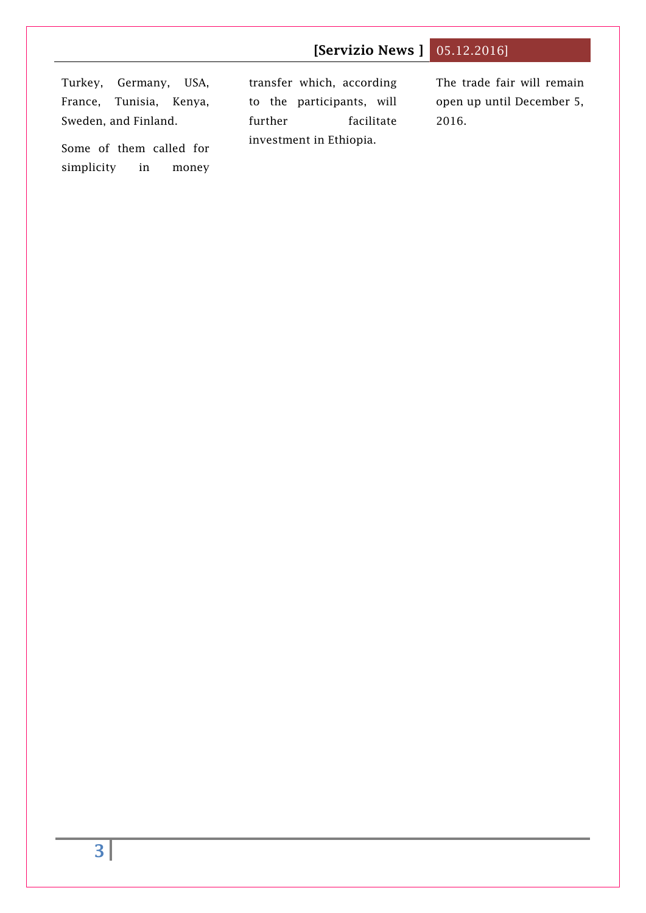Turkey, Germany, USA, France, Tunisia, Kenya, Sweden, and Finland. Some of them called for transfer which, according to the participants, will further facilitate investment in Ethiopia. The trade fair will remain open up until December 5, 2016.

simplicity in money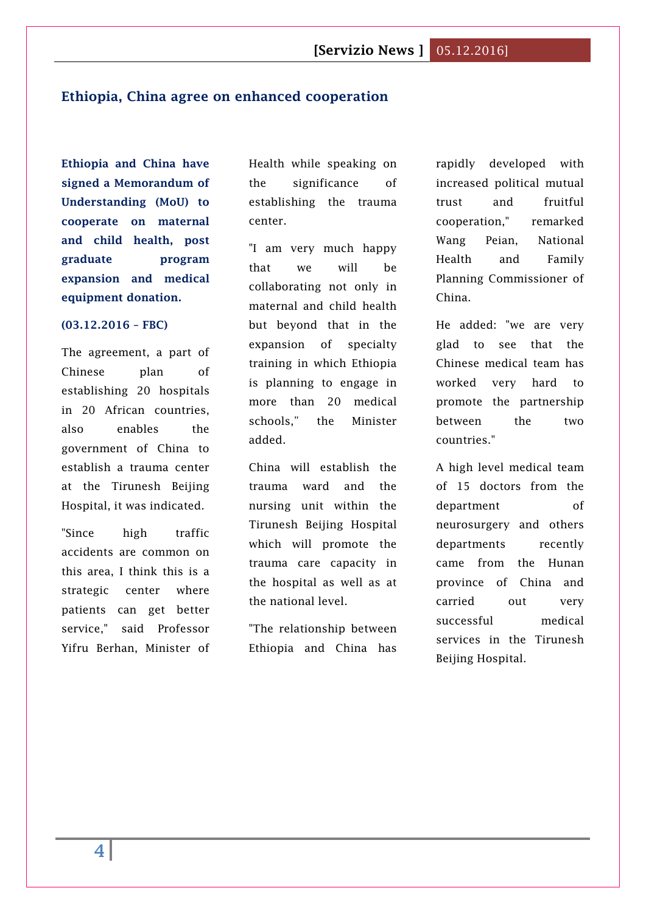#### <span id="page-3-0"></span>**Ethiopia, China agree on enhanced cooperation**

**Ethiopia and China have signed a Memorandum of Understanding (MoU) to cooperate on maternal and child health, post graduate program expansion and medical equipment donation.**

#### **(03.12.2016 – FBC)**

The agreement, a part of Chinese plan of establishing 20 hospitals in 20 African countries, also enables the government of China to establish a trauma center at the Tirunesh Beijing Hospital, it was indicated.

"Since high traffic accidents are common on this area, I think this is a strategic center where patients can get better service," said Professor Yifru Berhan, Minister of Health while speaking on the significance of establishing the trauma center.

"I am very much happy that we will be collaborating not only in maternal and child health but beyond that in the expansion of specialty training in which Ethiopia is planning to engage in more than 20 medical schools," the Minister added.

China will establish the trauma ward and the nursing unit within the Tirunesh Beijing Hospital which will promote the trauma care capacity in the hospital as well as at the national level.

"The relationship between Ethiopia and China has

rapidly developed with increased political mutual trust and fruitful cooperation," remarked Wang Peian, National Health and Family Planning Commissioner of China.

He added: "we are very glad to see that the Chinese medical team has worked very hard to promote the partnership between the two countries."

A high level medical team of 15 doctors from the department of neurosurgery and others departments recently came from the Hunan province of China and carried out very successful medical services in the Tirunesh Beijing Hospital.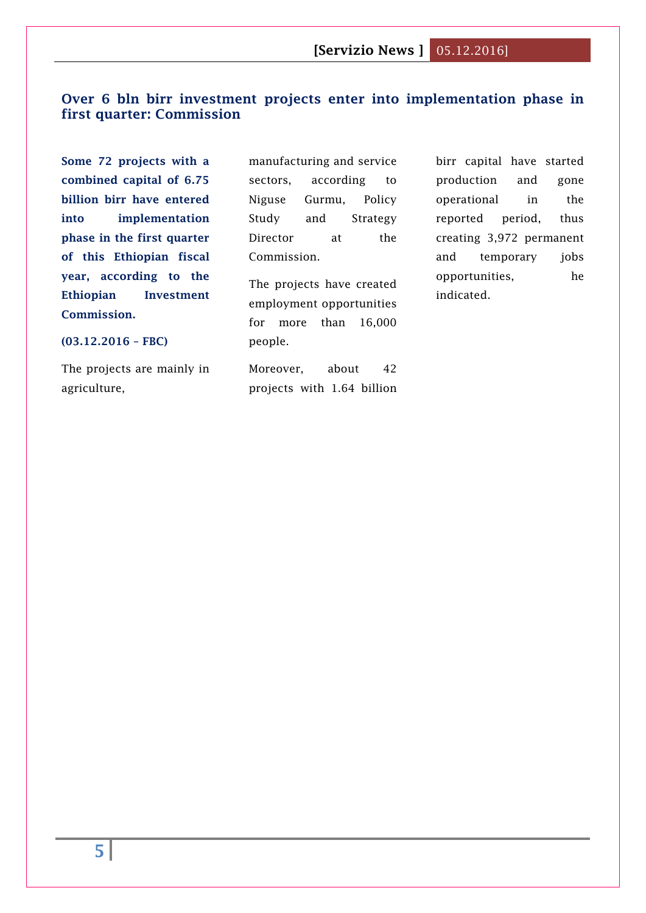## <span id="page-4-0"></span>**Over 6 bln birr investment projects enter into implementation phase in first quarter: Commission**

**Some 72 projects with a combined capital of 6.75 billion birr have entered into implementation phase in the first quarter of this Ethiopian fiscal year, according to the Ethiopian Investment Commission.**

manufacturing and service sectors, according to Niguse Gurmu, Policy Study and Strategy Director at the Commission.

The projects have created employment opportunities for more than 16,000 people.

Moreover, about 42 projects with 1.64 billion birr capital have started production and gone operational in the reported period, thus creating 3,972 permanent and temporary jobs opportunities, he indicated.

#### **(03.12.2016 – FBC)**

The projects are mainly in agriculture,

**5**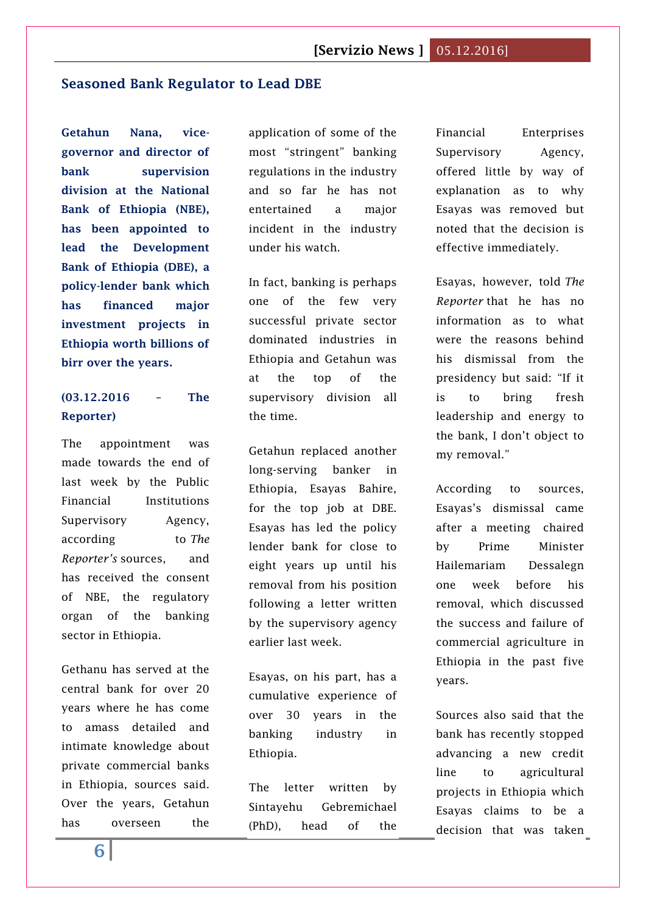### <span id="page-5-0"></span>**[Seasoned Bank Regulator to Lead DBE](http://www.thereporterethiopia.com/content/seasoned-bank-regulator-lead-dbe)**

**Getahun Nana, vicegovernor and director of bank supervision division at the National Bank of Ethiopia (NBE), has been appointed to lead the Development Bank of Ethiopia (DBE), a policy-lender bank which has financed major investment projects in Ethiopia worth billions of birr over the years.**

## **(03.12.2016 – The Reporter)**

The appointment was made towards the end of last week by the Public Financial Institutions Supervisory Agency, according to *The Reporter's* sources, and has received the consent of NBE, the regulatory organ of the banking sector in Ethiopia.

Gethanu has served at the central bank for over 20 years where he has come to amass detailed and intimate knowledge about private commercial banks in Ethiopia, sources said. Over the years, Getahun has overseen the

application of some of the most "stringent" banking regulations in the industry and so far he has not entertained a major incident in the industry under his watch.

In fact, banking is perhaps one of the few very successful private sector dominated industries in Ethiopia and Getahun was at the top of the supervisory division all the time.

Getahun replaced another long-serving banker in Ethiopia, Esayas Bahire, for the top job at DBE. Esayas has led the policy lender bank for close to eight years up until his removal from his position following a letter written by the supervisory agency earlier last week.

Esayas, on his part, has a cumulative experience of over 30 years in the banking industry in Ethiopia.

The letter written by Sintayehu Gebremichael (PhD), head of the Financial Enterprises Supervisory Agency, offered little by way of explanation as to why Esayas was removed but noted that the decision is effective immediately.

Esayas, however, told *The Reporter* that he has no information as to what were the reasons behind his dismissal from the presidency but said: "If it is to bring fresh leadership and energy to the bank, I don't object to my removal."

According to sources, Esayas's dismissal came after a meeting chaired by Prime Minister Hailemariam Dessalegn one week before his removal, which discussed the success and failure of commercial agriculture in Ethiopia in the past five years.

Sources also said that the bank has recently stopped advancing a new credit line to agricultural projects in Ethiopia which Esayas claims to be a decision that was taken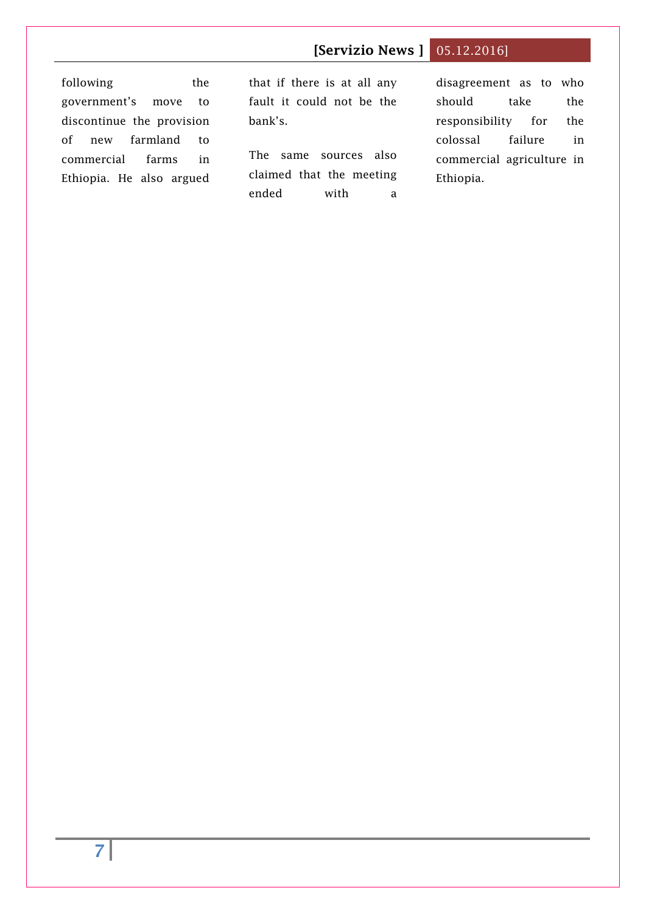following the government's move to discontinue the provision of new farmland to commercial farms in Ethiopia. He also argued that if there is at all any fault it could not be the bank's.

The same sources also claimed that the meeting ended with a disagreement as to who should take the responsibility for the colossal failure in commercial agriculture in Ethiopia.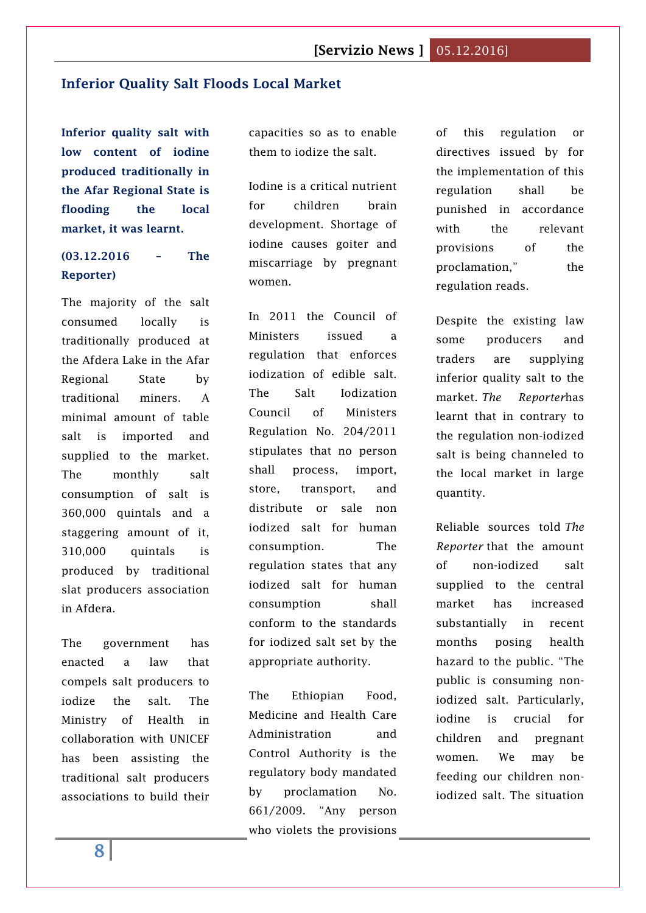### <span id="page-7-0"></span>**[Inferior Quality Salt Floods Local Market](http://www.thereporterethiopia.com/content/inferior-quality-salt-floods-local-market)**

**Inferior quality salt with low content of iodine produced traditionally in the Afar Regional State is flooding the local market, it was learnt.**

## **(03.12.2016 – The Reporter)**

The majority of the salt consumed locally is traditionally produced at the Afdera Lake in the Afar Regional State by traditional miners. A minimal amount of table salt is imported and supplied to the market. The monthly salt consumption of salt is 360,000 quintals and a staggering amount of it, 310,000 quintals is produced by traditional slat producers association in Afdera.

The government has enacted a law that compels salt producers to iodize the salt. The Ministry of Health in collaboration with UNICEF has been assisting the traditional salt producers associations to build their capacities so as to enable them to iodize the salt.

Iodine is a critical nutrient for children brain development. Shortage of iodine causes goiter and miscarriage by pregnant women.

In 2011 the Council of Ministers issued a regulation that enforces iodization of edible salt. The Salt Iodization Council of Ministers Regulation No. 204/2011 stipulates that no person shall process, import, store, transport, and distribute or sale non iodized salt for human consumption. The regulation states that any iodized salt for human consumption shall conform to the standards for iodized salt set by the appropriate authority.

The Ethiopian Food, Medicine and Health Care Administration and Control Authority is the regulatory body mandated by proclamation No. 661/2009. "Any person who violets the provisions of this regulation or directives issued by for the implementation of this regulation shall be punished in accordance with the relevant provisions of the proclamation," the regulation reads.

Despite the existing law some producers and traders are supplying inferior quality salt to the market. *The Reporter*has learnt that in contrary to the regulation non-iodized salt is being channeled to the local market in large quantity.

Reliable sources told *The Reporter* that the amount of non-iodized salt supplied to the central market has increased substantially in recent months posing health hazard to the public. "The public is consuming noniodized salt. Particularly, iodine is crucial for children and pregnant women. We may be feeding our children noniodized salt. The situation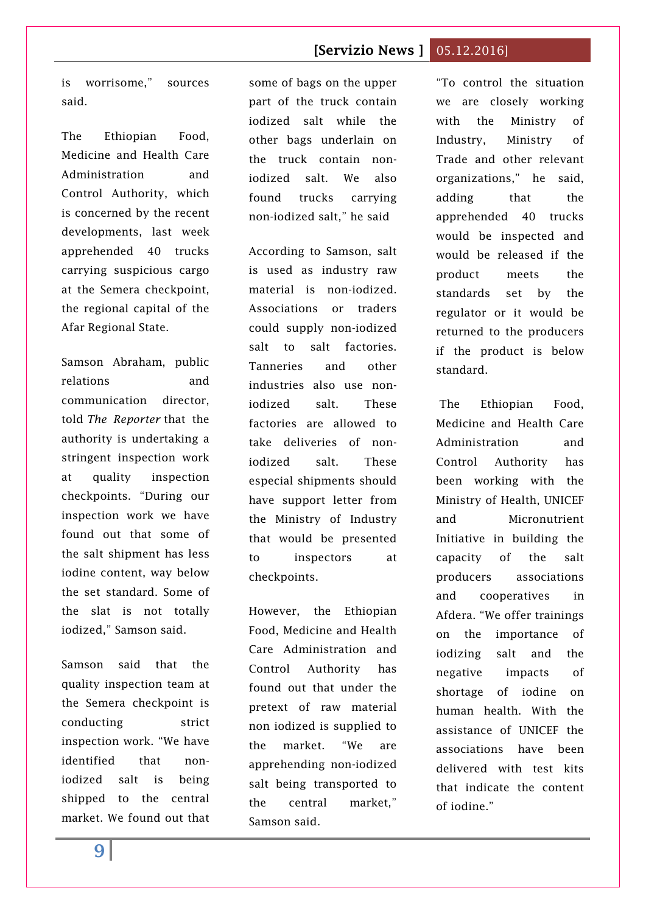is worrisome," sources said.

The Ethiopian Food, Medicine and Health Care Administration and Control Authority, which is concerned by the recent developments, last week apprehended 40 trucks carrying suspicious cargo at the Semera checkpoint, the regional capital of the Afar Regional State.

Samson Abraham, public relations and communication director, told *The Reporter* that the authority is undertaking a stringent inspection work at quality inspection checkpoints. "During our inspection work we have found out that some of the salt shipment has less iodine content, way below the set standard. Some of the slat is not totally iodized," Samson said.

Samson said that the quality inspection team at the Semera checkpoint is conducting strict inspection work. "We have identified that noniodized salt is being shipped to the central market. We found out that some of bags on the upper part of the truck contain iodized salt while the other bags underlain on the truck contain noniodized salt. We also found trucks carrying non-iodized salt," he said

According to Samson, salt is used as industry raw material is non-iodized. Associations or traders could supply non-iodized salt to salt factories. Tanneries and other industries also use noniodized salt. These factories are allowed to take deliveries of noniodized salt. These especial shipments should have support letter from the Ministry of Industry that would be presented to inspectors at checkpoints.

However, the Ethiopian Food, Medicine and Health Care Administration and Control Authority has found out that under the pretext of raw material non iodized is supplied to the market. "We are apprehending non-iodized salt being transported to the central market," Samson said.

"To control the situation we are closely working with the Ministry of Industry, Ministry of Trade and other relevant organizations," he said, adding that the apprehended 40 trucks would be inspected and would be released if the product meets the standards set by the regulator or it would be returned to the producers if the product is below standard.

The Ethiopian Food, Medicine and Health Care Administration and Control Authority has been working with the Ministry of Health, UNICEF and Micronutrient Initiative in building the capacity of the salt producers associations and cooperatives in Afdera. "We offer trainings on the importance of iodizing salt and the negative impacts of shortage of iodine on human health. With the assistance of UNICEF the associations have been delivered with test kits that indicate the content of iodine."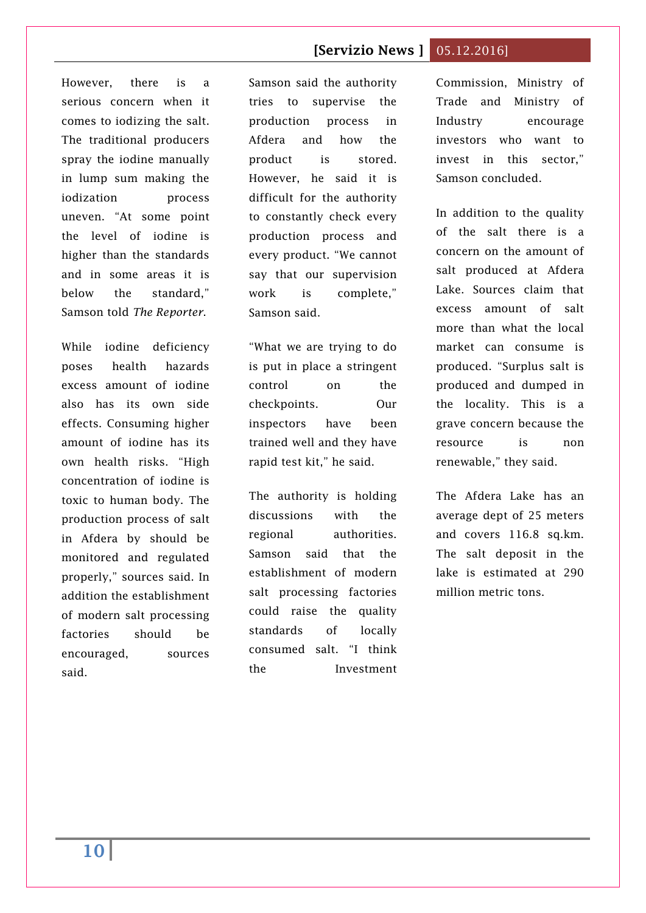However, there is a serious concern when it comes to iodizing the salt. The traditional producers spray the iodine manually in lump sum making the iodization process uneven. "At some point the level of iodine is higher than the standards and in some areas it is below the standard," Samson told *The Reporter*.

While iodine deficiency poses health hazards excess amount of iodine also has its own side effects. Consuming higher amount of iodine has its own health risks. "High concentration of iodine is toxic to human body. The production process of salt in Afdera by should be monitored and regulated properly," sources said. In addition the establishment of modern salt processing factories should be encouraged, sources said.

Samson said the authority tries to supervise the production process in Afdera and how the product is stored. However, he said it is difficult for the authority to constantly check every production process and every product. "We cannot say that our supervision work is complete," Samson said.

"What we are trying to do is put in place a stringent control on the checkpoints. Our inspectors have been trained well and they have rapid test kit," he said.

The authority is holding discussions with the regional authorities. Samson said that the establishment of modern salt processing factories could raise the quality standards of locally consumed salt. "I think the Investment

Commission, Ministry of Trade and Ministry of Industry encourage investors who want to invest in this sector," Samson concluded.

In addition to the quality of the salt there is a concern on the amount of salt produced at Afdera Lake. Sources claim that excess amount of salt more than what the local market can consume is produced. "Surplus salt is produced and dumped in the locality. This is a grave concern because the resource is non renewable," they said.

The Afdera Lake has an average dept of 25 meters and covers 116.8 sq.km. The salt deposit in the lake is estimated at 290 million metric tons.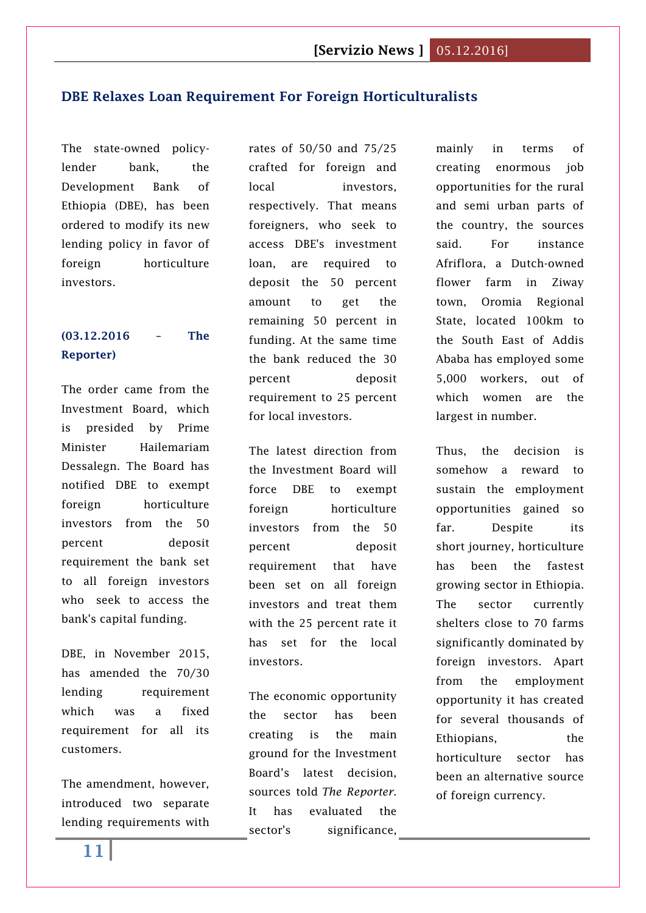#### <span id="page-10-0"></span>**DBE [Relaxes Loan Requirement For Foreign Horticulturalists](http://www.thereporterethiopia.com/content/dbe-relaxes-loan-requirement-foreign-horticulturalists)**

The state-owned policylender bank, the Development Bank of Ethiopia (DBE), has been ordered to modify its new lending policy in favor of foreign horticulture investors.

## **(03.12.2016 – The Reporter)**

The order came from the Investment Board, which is presided by Prime Minister Hailemariam Dessalegn. The Board has notified DBE to exempt foreign horticulture investors from the 50 percent deposit requirement the bank set to all foreign investors who seek to access the bank's capital funding.

DBE, in November 2015, has amended the 70/30 lending requirement which was a fixed requirement for all its customers.

The amendment, however, introduced two separate lending requirements with rates of 50/50 and 75/25 crafted for foreign and local investors, respectively. That means foreigners, who seek to access DBE's investment loan, are required to deposit the 50 percent amount to get the remaining 50 percent in funding. At the same time the bank reduced the 30 percent deposit requirement to 25 percent for local investors.

The latest direction from the Investment Board will force DBE to exempt foreign horticulture investors from the 50 percent deposit requirement that have been set on all foreign investors and treat them with the 25 percent rate it has set for the local investors.

The economic opportunity the sector has been creating is the main ground for the Investment Board's latest decision, sources told *The Reporter*. It has evaluated the sector's significance, mainly in terms of creating enormous job opportunities for the rural and semi urban parts of the country, the sources said. For instance Afriflora, a Dutch-owned flower farm in Ziway town, Oromia Regional State, located 100km to the South East of Addis Ababa has employed some 5,000 workers, out of which women are the largest in number.

Thus, the decision is somehow a reward to sustain the employment opportunities gained so far. Despite its short journey, horticulture has been the fastest growing sector in Ethiopia. The sector currently shelters close to 70 farms significantly dominated by foreign investors. Apart from the employment opportunity it has created for several thousands of Ethiopians, the horticulture sector has been an alternative source of foreign currency.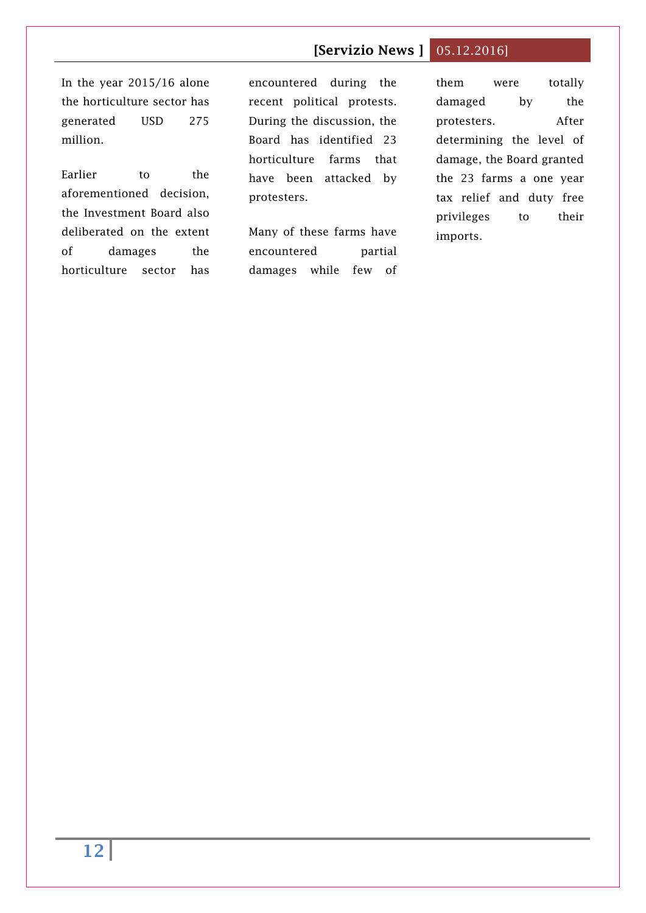In the year 2015/16 alone the horticulture sector has generated USD 275 million.

Earlier to the aforementioned decision, the Investment Board also deliberated on the extent of damages the horticulture sector has encountered during the recent political protests. During the discussion, the Board has identified 23 horticulture farms that have been attacked by protesters.

Many of these farms have encountered partial damages while few of

them were totally damaged by the protesters. After determining the level of damage, the Board granted the 23 farms a one year tax relief and duty free privileges to their imports.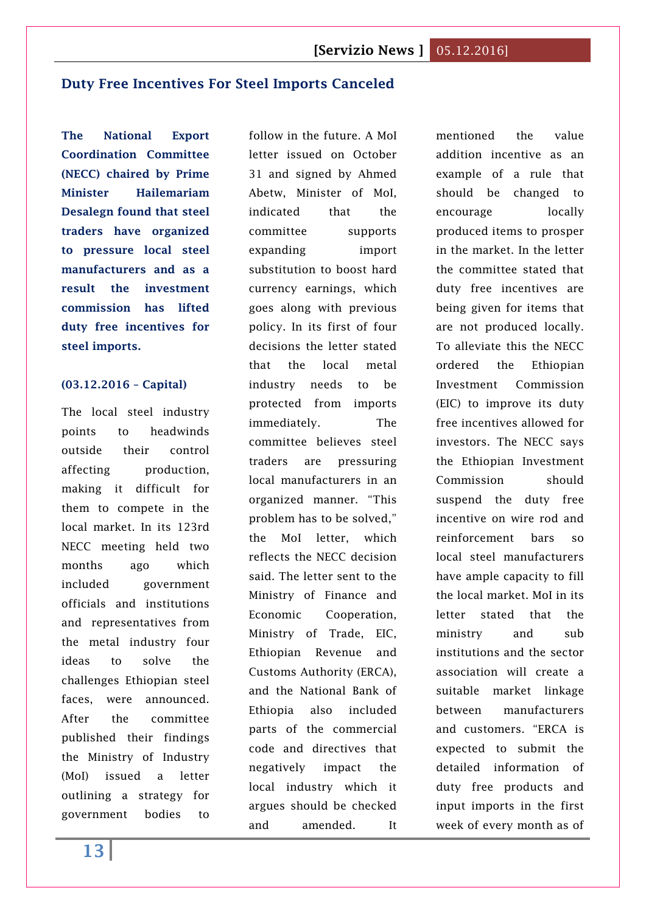## <span id="page-12-0"></span>**Duty Free Incentives For Steel Imports Canceled**

**The National Export Coordination Committee (NECC) chaired by Prime Minister Hailemariam Desalegn found that steel traders have organized to pressure local steel manufacturers and as a result the investment commission has lifted duty free incentives for steel imports.**

#### **(03.12.2016 – Capital)**

The local steel industry points to headwinds outside their control affecting production. making it difficult for them to compete in the local market. In its 123rd NECC meeting held two months ago which included government officials and institutions and representatives from the metal industry four ideas to solve the challenges Ethiopian steel faces, were announced. After the committee published their findings the Ministry of Industry (MoI) issued a letter outlining a strategy for government bodies to

follow in the future. A MoI letter issued on October 31 and signed by Ahmed Abetw, Minister of MoI, indicated that the committee supports expanding import substitution to boost hard currency earnings, which goes along with previous policy. In its first of four decisions the letter stated that the local metal industry needs to be protected from imports immediately. The committee believes steel traders are pressuring local manufacturers in an organized manner. "This problem has to be solved," the MoI letter, which reflects the NECC decision said. The letter sent to the Ministry of Finance and Economic Cooperation, Ministry of Trade, EIC, Ethiopian Revenue and Customs Authority (ERCA), and the National Bank of Ethiopia also included parts of the commercial code and directives that negatively impact the local industry which it argues should be checked and amended. It

mentioned the value addition incentive as an example of a rule that should be changed to encourage locally produced items to prosper in the market. In the letter the committee stated that duty free incentives are being given for items that are not produced locally. To alleviate this the NECC ordered the Ethiopian Investment Commission (EIC) to improve its duty free incentives allowed for investors. The NECC says the Ethiopian Investment Commission should suspend the duty free incentive on wire rod and reinforcement bars so local steel manufacturers have ample capacity to fill the local market. MoI in its letter stated that the ministry and sub institutions and the sector association will create a suitable market linkage between manufacturers and customers. "ERCA is expected to submit the detailed information of duty free products and input imports in the first week of every month as of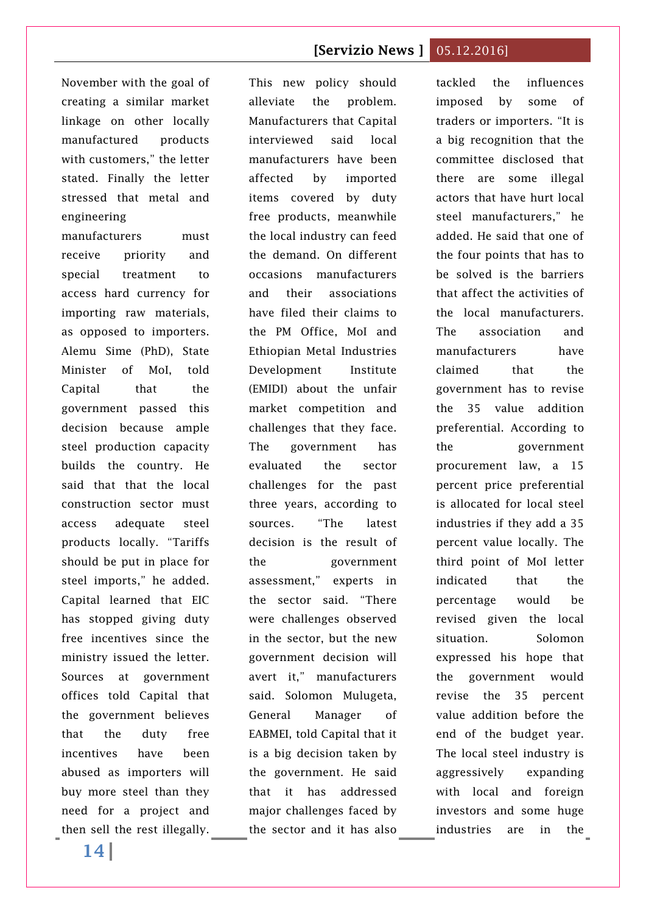November with the goal of creating a similar market linkage on other locally manufactured products with customers," the letter stated. Finally the letter stressed that metal and engineering

manufacturers must receive priority and special treatment to access hard currency for importing raw materials, as opposed to importers. Alemu Sime (PhD), State Minister of MoI, told Capital that the government passed this decision because ample steel production capacity builds the country. He said that that the local construction sector must access adequate steel products locally. "Tariffs should be put in place for steel imports," he added. Capital learned that EIC has stopped giving duty free incentives since the ministry issued the letter. Sources at government offices told Capital that the government believes that the duty free incentives have been abused as importers will buy more steel than they need for a project and then sell the rest illegally. the sector and it has also industries are in the

This new policy should alleviate the problem. Manufacturers that Capital interviewed said local manufacturers have been affected by imported items covered by duty free products, meanwhile the local industry can feed the demand. On different occasions manufacturers and their associations have filed their claims to the PM Office, MoI and Ethiopian Metal Industries Development Institute (EMIDI) about the unfair market competition and challenges that they face. The government has evaluated the sector challenges for the past three years, according to sources. "The latest decision is the result of the government assessment," experts in the sector said. "There were challenges observed in the sector, but the new government decision will avert it," manufacturers said. Solomon Mulugeta, General Manager of EABMEI, told Capital that it is a big decision taken by the government. He said that it has addressed major challenges faced by

tackled the influences imposed by some of traders or importers. "It is a big recognition that the committee disclosed that there are some illegal actors that have hurt local steel manufacturers," he added. He said that one of the four points that has to be solved is the barriers that affect the activities of the local manufacturers. The association and manufacturers have claimed that the government has to revise the 35 value addition preferential. According to the government procurement law, a 15 percent price preferential is allocated for local steel industries if they add a 35 percent value locally. The third point of MoI letter indicated that the percentage would be revised given the local situation. Solomon expressed his hope that the government would revise the 35 percent value addition before the end of the budget year. The local steel industry is aggressively expanding with local and foreign investors and some huge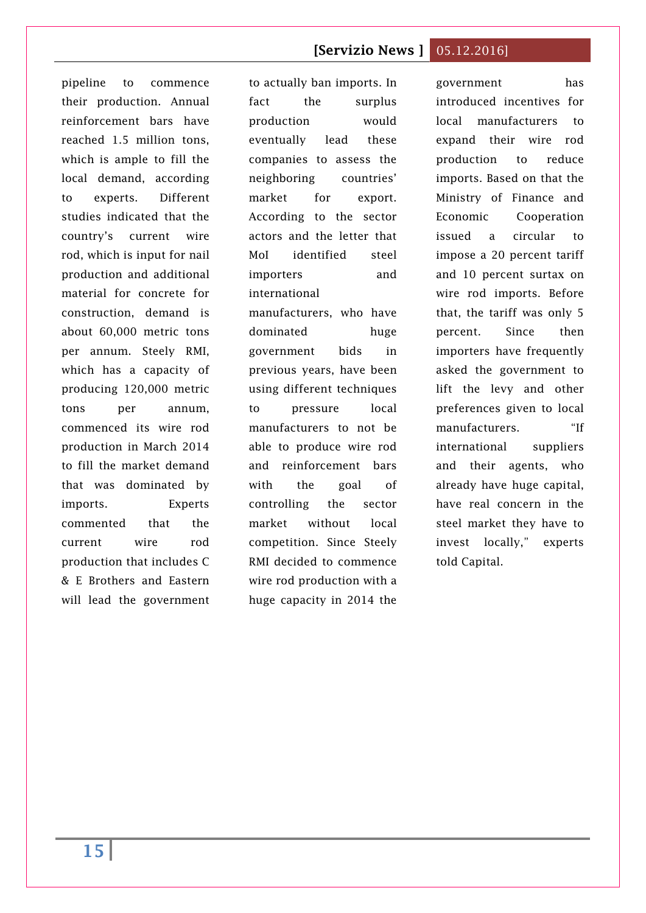pipeline to commence their production. Annual reinforcement bars have reached 1.5 million tons, which is ample to fill the local demand, according to experts. Different studies indicated that the country's current wire rod, which is input for nail production and additional material for concrete for construction, demand is about 60,000 metric tons per annum. Steely RMI, which has a capacity of producing 120,000 metric tons per annum, commenced its wire rod production in March 2014 to fill the market demand that was dominated by imports. Experts commented that the current wire rod production that includes C & E Brothers and Eastern will lead the government

to actually ban imports. In fact the surplus production would eventually lead these companies to assess the neighboring countries' market for export. According to the sector actors and the letter that MoI identified steel importers and international manufacturers, who have dominated huge government bids in previous years, have been using different techniques to pressure local manufacturers to not be able to produce wire rod and reinforcement bars with the goal of controlling the sector market without local competition. Since Steely RMI decided to commence wire rod production with a huge capacity in 2014 the

government has introduced incentives for local manufacturers to expand their wire rod production to reduce imports. Based on that the Ministry of Finance and Economic Cooperation issued a circular to impose a 20 percent tariff and 10 percent surtax on wire rod imports. Before that, the tariff was only 5 percent. Since then importers have frequently asked the government to lift the levy and other preferences given to local manufacturers. "If international suppliers and their agents, who already have huge capital, have real concern in the steel market they have to invest locally," experts told Capital.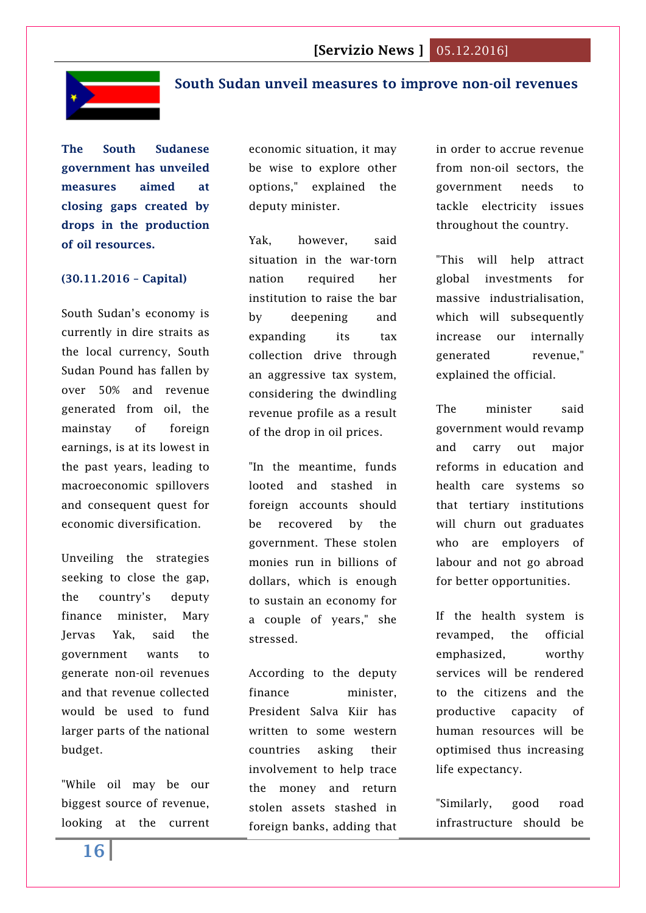

## <span id="page-15-0"></span>**South Sudan unveil measures to improve non-oil revenues**

**The South Sudanese government has unveiled measures aimed at closing gaps created by drops in the production of oil resources.**

#### **(30.11.2016 – Capital)**

South Sudan's economy is currently in dire straits as the local currency, South Sudan Pound has fallen by over 50% and revenue generated from oil, the mainstay of foreign earnings, is at its lowest in the past years, leading to macroeconomic spillovers and consequent quest for economic diversification.

Unveiling the strategies seeking to close the gap, the country's deputy finance minister, Mary Jervas Yak, said the government wants to generate non-oil revenues and that revenue collected would be used to fund larger parts of the national budget.

"While oil may be our biggest source of revenue, looking at the current economic situation, it may be wise to explore other options," explained the deputy minister.

Yak, however, said situation in the war-torn nation required her institution to raise the bar by deepening and expanding its tax collection drive through an aggressive tax system, considering the dwindling revenue profile as a result of the drop in oil prices.

"In the meantime, funds looted and stashed in foreign accounts should be recovered by the government. These stolen monies run in billions of dollars, which is enough to sustain an economy for a couple of years," she stressed.

According to the deputy finance minister, President Salva Kiir has written to some western countries asking their involvement to help trace the money and return stolen assets stashed in foreign banks, adding that in order to accrue revenue from non-oil sectors, the government needs to tackle electricity issues throughout the country.

"This will help attract global investments for massive industrialisation, which will subsequently increase our internally generated revenue," explained the official.

The minister said government would revamp and carry out major reforms in education and health care systems so that tertiary institutions will churn out graduates who are employers of labour and not go abroad for better opportunities.

If the health system is revamped, the official emphasized, worthy services will be rendered to the citizens and the productive capacity of human resources will be optimised thus increasing life expectancy.

"Similarly, good road infrastructure should be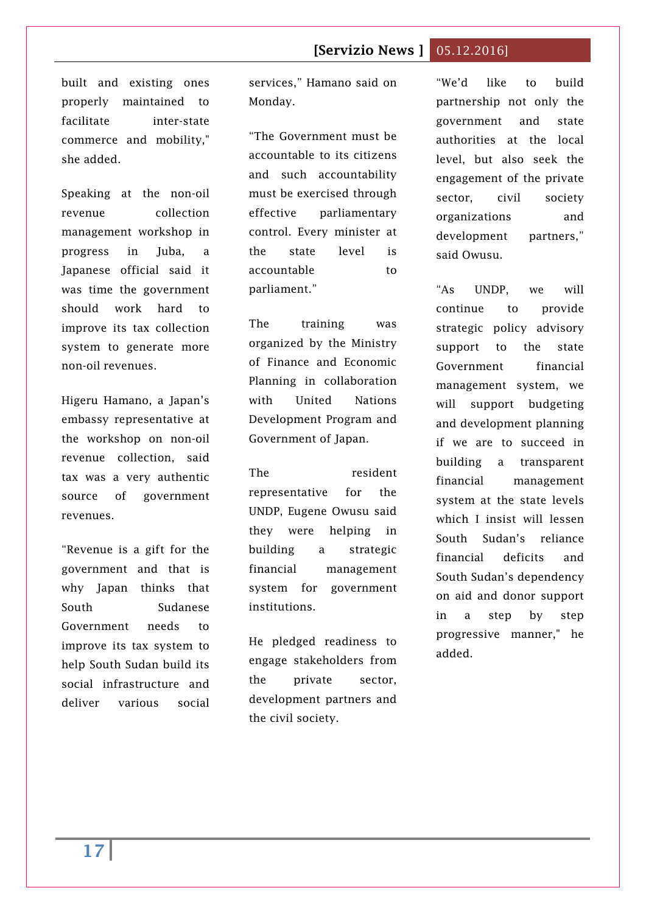built and existing ones properly maintained to facilitate inter-state commerce and mobility," she added.

Speaking at the non-oil revenue collection management workshop in progress in Juba, a Japanese official said it was time the government should work hard to improve its tax collection system to generate more non-oil revenues.

Higeru Hamano, a Japan's embassy representative at the workshop on non-oil revenue collection, said tax was a very authentic source of government revenues.

"Revenue is a gift for the government and that is why Japan thinks that South Sudanese Government needs to improve its tax system to help South Sudan build its social infrastructure and deliver various social services," Hamano said on Monday.

"The Government must be accountable to its citizens and such accountability must be exercised through effective parliamentary control. Every minister at the state level is accountable to parliament."

The training was organized by the Ministry of Finance and Economic Planning in collaboration with United Nations Development Program and Government of Japan.

The resident representative for the UNDP, Eugene Owusu said they were helping in building a strategic financial management system for government institutions.

He pledged readiness to engage stakeholders from the private sector, development partners and the civil society.

"We'd like to build partnership not only the government and state authorities at the local level, but also seek the engagement of the private sector, civil society organizations and development partners," said Owusu.

"As UNDP, we will continue to provide strategic policy advisory support to the state Government financial management system, we will support budgeting and development planning if we are to succeed in building a transparent financial management system at the state levels which I insist will lessen South Sudan's reliance financial deficits and South Sudan's dependency on aid and donor support in a step by step progressive manner," he added.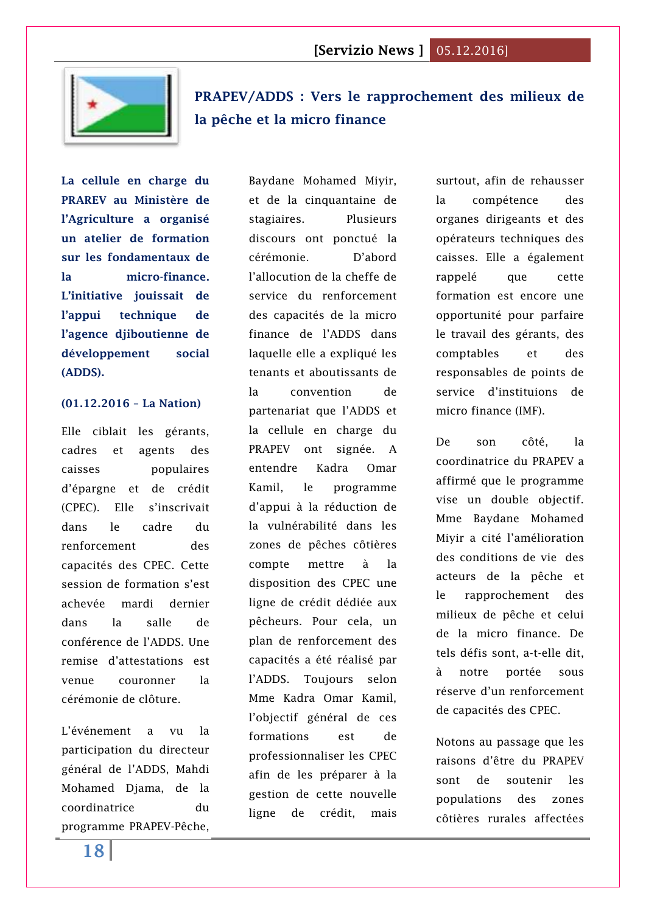

<span id="page-17-0"></span>**[PRAPEV/ADDS : Vers le rapprochement des milieux de](http://www.lanationdj.com/prapevadds-vers-rapprochement-milieux-de-peche-micro-finance/)  [la pêche et la micro finance](http://www.lanationdj.com/prapevadds-vers-rapprochement-milieux-de-peche-micro-finance/)**

**La cellule en charge du PRAREV au Ministère de l'Agriculture a organisé un atelier de formation sur les fondamentaux de la micro-finance. L'initiative jouissait de l'appui technique de l'agence djiboutienne de développement social (ADDS).** 

#### **(01.12.2016 – La Nation)**

Elle ciblait les gérants, cadres et agents des caisses populaires d'épargne et de crédit (CPEC). Elle s'inscrivait dans le cadre du renforcement des capacités des CPEC. Cette session de formation s'est achevée mardi dernier dans la salle de conférence de l'ADDS. Une remise d'attestations est venue couronner la cérémonie de clôture.

L'événement a vu la participation du directeur général de l'ADDS, Mahdi Mohamed Djama, de la coordinatrice du programme PRAPEV-Pêche,

Baydane Mohamed Miyir, et de la cinquantaine de stagiaires. Plusieurs discours ont ponctué la cérémonie. D'abord l'allocution de la cheffe de service du renforcement des capacités de la micro finance de l'ADDS dans laquelle elle a expliqué les tenants et aboutissants de la convention de partenariat que l'ADDS et la cellule en charge du PRAPEV ont signée. A entendre Kadra Omar Kamil, le programme d'appui à la réduction de la vulnérabilité dans les zones de pêches côtières compte mettre à la disposition des CPEC une ligne de crédit dédiée aux pêcheurs. Pour cela, un plan de renforcement des capacités a été réalisé par l'ADDS. Toujours selon Mme Kadra Omar Kamil, l'objectif général de ces formations est de professionnaliser les CPEC afin de les préparer à la gestion de cette nouvelle ligne de crédit, mais

surtout, afin de rehausser la compétence des organes dirigeants et des opérateurs techniques des caisses. Elle a également rappelé que cette formation est encore une opportunité pour parfaire le travail des gérants, des comptables et des responsables de points de service d'instituions de micro finance (IMF).

De son côté, la coordinatrice du PRAPEV a affirmé que le programme vise un double objectif. Mme Baydane Mohamed Miyir a cité l'amélioration des conditions de vie des acteurs de la pêche et le rapprochement des milieux de pêche et celui de la micro finance. De tels défis sont, a-t-elle dit, à notre portée sous réserve d'un renforcement de capacités des CPEC.

Notons au passage que les raisons d'être du PRAPEV sont de soutenir les populations des zones côtières rurales affectées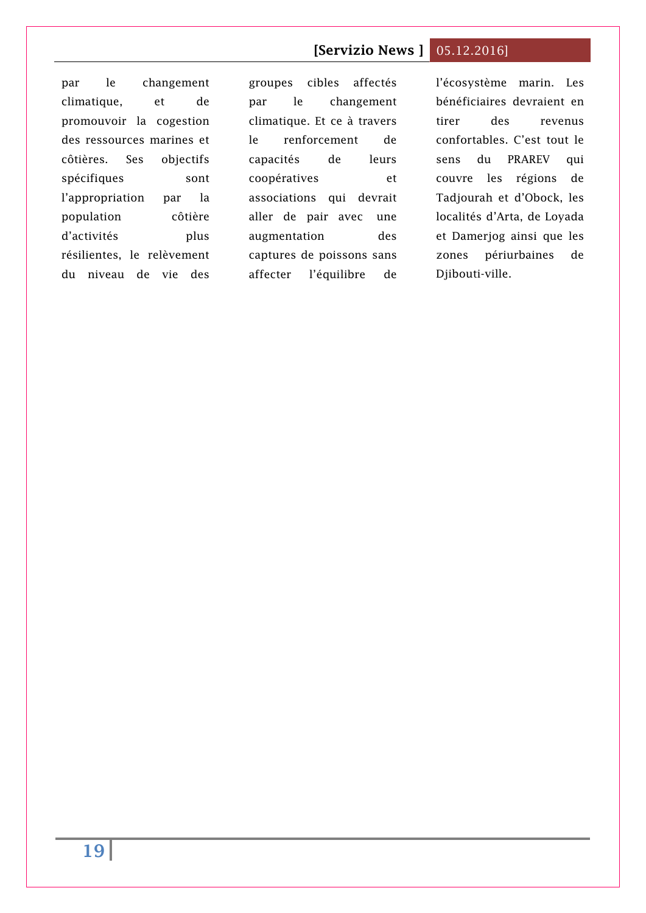par le changement climatique, et de promouvoir la cogestion des ressources marines et côtières. Ses objectifs spécifiques sont l'appropriation par la population côtière d'activités plus résilientes, le relèvement du niveau de vie des

groupes cibles affectés par le changement climatique. Et ce à travers le renforcement de capacités de leurs coopératives et associations qui devrait aller de pair avec une augmentation des captures de poissons sans affecter l'équilibre de l'écosystème marin. Les bénéficiaires devraient en tirer des revenus confortables. C'est tout le sens du PRAREV qui couvre les régions de Tadjourah et d'Obock, les localités d'Arta, de Loyada et Damerjog ainsi que les zones périurbaines de Djibouti-ville.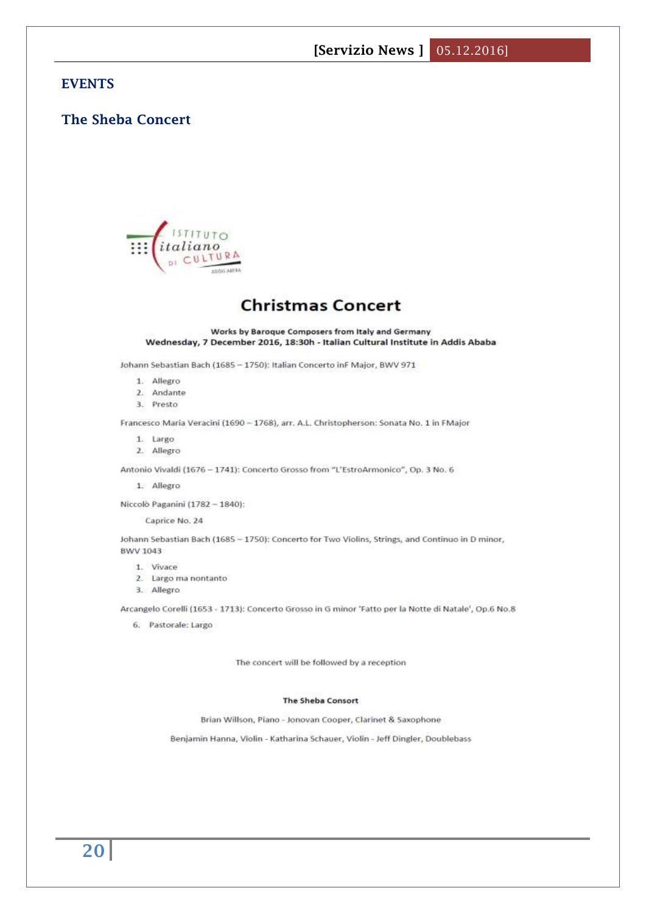#### **EVENTS**

## <span id="page-19-0"></span>**The Sheba Concert**



# **Christmas Concert**

Works by Baroque Composers from Italy and Germany Wednesday, 7 December 2016, 18:30h - Italian Cultural Institute in Addis Ababa

Johann Sebastian Bach (1685 - 1750): Italian Concerto inF Major, BWV 971

- 1. Allegro
- 2. Andante
- 3. Presto

Francesco Maria Veracini (1690 - 1768), arr. A.L. Christopherson: Sonata No. 1 in FMajor

- 1. Largo
- 2. Allegro

Antonio Vivaldi (1676 - 1741): Concerto Grosso from "L'EstroArmonico", Op. 3 No. 6

1. Allegro

Niccolò Paganini (1782 - 1840):

Caprice No. 24

Johann Sebastian Bach (1685 - 1750): Concerto for Two Violins, Strings, and Continuo in D minor, BWV 1043

- 1. Vivace
- 2. Largo ma nontanto
- 3. Allegro

Arcangelo Corelli (1653 - 1713): Concerto Grosso in G minor 'Fatto per la Notte di Natale', Op.6 No.8

6. Pastorale: Largo

The concert will be followed by a reception

#### The Sheba Consort

Brian Willson, Piano - Jonovan Cooper, Clarinet & Saxophone

Benjamin Hanna, Violin - Katharina Schauer, Violin - Jeff Dingler, Doublebass